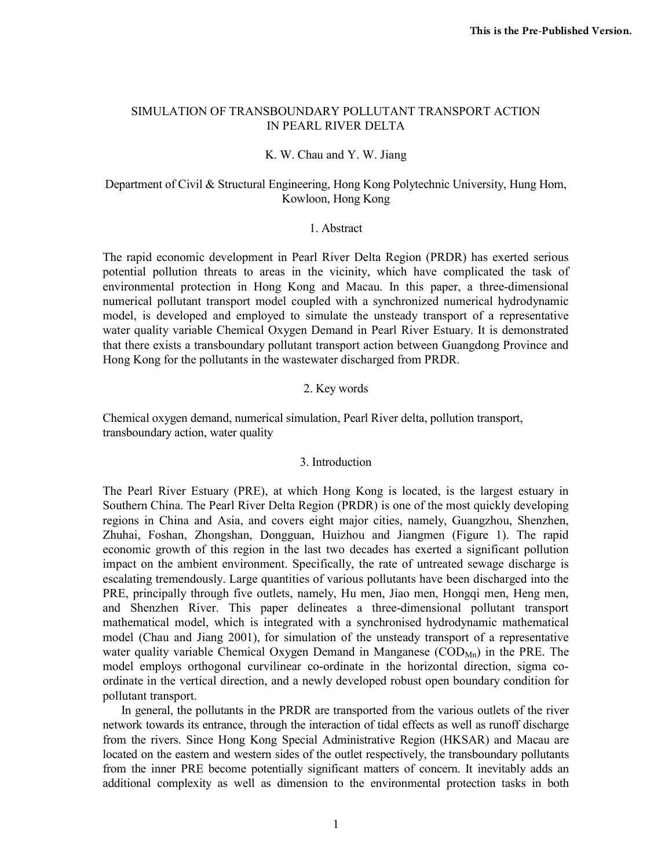# SIMULATION OF TRANSBOUNDARY POLLUTANT TRANSPORT ACTION IN PEARL RIVER DELTA

## K. W. Chau and Y. W. Jiang

# Department of Civil & Structural Engineering, Hong Kong Polytechnic University, Hung Hom, Kowloon, Hong Kong

### 1. Abstract

The rapid economic development in Pearl River Delta Region (PRDR) has exerted serious potential pollution threats to areas in the vicinity, which have complicated the task of environmental protection in Hong Kong and Macau. In this paper, a three-dimensional numerical pollutant transport model coupled with a synchronized numerical hydrodynamic model, is developed and employed to simulate the unsteady transport of a representative water quality variable Chemical Oxygen Demand in Pearl River Estuary. It is demonstrated that there exists a transboundary pollutant transport action between Guangdong Province and Hong Kong for the pollutants in the wastewater discharged from PRDR.

## 2. Key words

Chemical oxygen demand, numerical simulation, Pearl River delta, pollution transport, transboundary action, water quality

### 3. Introduction

The Pearl River Estuary (PRE), at which Hong Kong is located, is the largest estuary in Southern China. The Pearl River Delta Region (PRDR) is one of the most quickly developing regions in China and Asia, and covers eight major cities, namely, Guangzhou, Shenzhen, Zhuhai, Foshan, Zhongshan, Dongguan, Huizhou and Jiangmen (Figure 1). The rapid economic growth of this region in the last two decades has exerted a significant pollution impact on the ambient environment. Specifically, the rate of untreated sewage discharge is escalating tremendously. Large quantities of various pollutants have been discharged into the PRE, principally through five outlets, namely, Hu men, Jiao men, Hongqi men, Heng men, and Shenzhen River. This paper delineates a three-dimensional pollutant transport mathematical model, which is integrated with a synchronised hydrodynamic mathematical model (Chau and Jiang 2001), for simulation of the unsteady transport of a representative water quality variable Chemical Oxygen Demand in Manganese ( $\text{COD}_{Mn}$ ) in the PRE. The model employs orthogonal curvilinear co-ordinate in the horizontal direction, sigma coordinate in the vertical direction, and a newly developed robust open boundary condition for pollutant transport.

 In general, the pollutants in the PRDR are transported from the various outlets of the river network towards its entrance, through the interaction of tidal effects as well as runoff discharge from the rivers. Since Hong Kong Special Administrative Region (HKSAR) and Macau are located on the eastern and western sides of the outlet respectively, the transboundary pollutants from the inner PRE become potentially significant matters of concern. It inevitably adds an additional complexity as well as dimension to the environmental protection tasks in both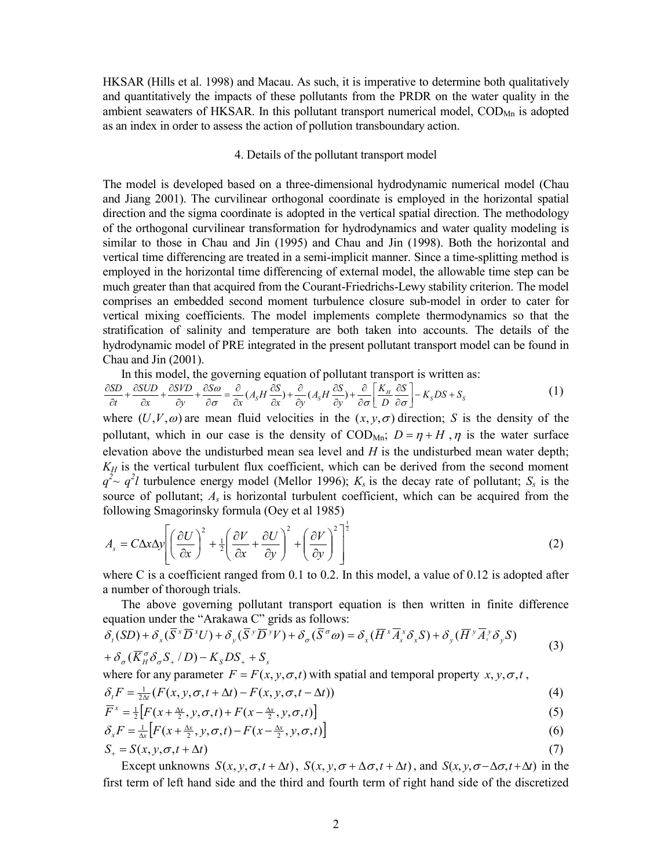HKSAR (Hills et al. 1998) and Macau. As such, it is imperative to determine both qualitatively and quantitatively the impacts of these pollutants from the PRDR on the water quality in the ambient seawaters of HKSAR. In this pollutant transport numerical model,  $\text{COD}_{\text{Mn}}$  is adopted as an index in order to assess the action of pollution transboundary action.

#### 4. Details of the pollutant transport model

The model is developed based on a three-dimensional hydrodynamic numerical model (Chau and Jiang 2001). The curvilinear orthogonal coordinate is employed in the horizontal spatial direction and the sigma coordinate is adopted in the vertical spatial direction. The methodology of the orthogonal curvilinear transformation for hydrodynamics and water quality modeling is similar to those in Chau and Jin (1995) and Chau and Jin (1998). Both the horizontal and vertical time differencing are treated in a semi-implicit manner. Since a time-splitting method is employed in the horizontal time differencing of external model, the allowable time step can be much greater than that acquired from the Courant-Friedrichs-Lewy stability criterion. The model comprises an embedded second moment turbulence closure sub-model in order to cater for vertical mixing coefficients. The model implements complete thermodynamics so that the stratification of salinity and temperature are both taken into accounts. The details of the hydrodynamic model of PRE integrated in the present pollutant transport model can be found in Chau and Jin (2001).

In this model, the governing equation of pollutant transport is written as:

$$
\frac{\partial SD}{\partial t} + \frac{\partial SUD}{\partial x} + \frac{\partial SVD}{\partial y} + \frac{\partial S\omega}{\partial \sigma} = \frac{\partial}{\partial x} (A_s H \frac{\partial S}{\partial x}) + \frac{\partial}{\partial y} (A_s H \frac{\partial S}{\partial y}) + \frac{\partial}{\partial \sigma} \left[ \frac{K_H}{D} \frac{\partial S}{\partial \sigma} \right] - K_s DS + S_s \tag{1}
$$

where  $(U, V, \omega)$  are mean fluid velocities in the  $(x, y, \sigma)$  direction; *S* is the density of the pollutant, which in our case is the density of  $\text{COD}_{\text{Mn}}$ ;  $D = \eta + H$ ,  $\eta$  is the water surface elevation above the undisturbed mean sea level and *H* is the undisturbed mean water depth;  $K_H$  is the vertical turbulent flux coefficient, which can be derived from the second moment  $q^2 \sim q^2 l$  turbulence energy model (Mellor 1996);  $K_s$  is the decay rate of pollutant;  $S_s$  is the source of pollutant; *As* is horizontal turbulent coefficient, which can be acquired from the following Smagorinsky formula (Oey et al 1985)

$$
A_s = C\Delta x \Delta y \left[ \left( \frac{\partial U}{\partial x} \right)^2 + \frac{1}{2} \left( \frac{\partial V}{\partial x} + \frac{\partial U}{\partial y} \right)^2 + \left( \frac{\partial V}{\partial y} \right)^2 \right]^{\frac{1}{2}}
$$
(2)

where C is a coefficient ranged from 0.1 to 0.2. In this model, a value of 0.12 is adopted after a number of thorough trials.

 The above governing pollutant transport equation is then written in finite difference equation under the "Arakawa C" grids as follows:

$$
\delta_{\tau}(SD) + \delta_{x}(\overline{S}^{x}\overline{D}^{x}U) + \delta_{y}(\overline{S}^{y}\overline{D}^{y}V) + \delta_{\sigma}(\overline{S}^{\sigma}\omega) = \delta_{x}(\overline{H}^{x}\overline{A}_{s}^{x}\delta_{x}S) + \delta_{y}(\overline{H}^{y}\overline{A}_{s}^{y}\delta_{y}S)
$$
\n(3)

$$
+\delta_{\sigma}(\overline{K}_{H}^{\sigma}\delta_{\sigma}S_{+}/D)-K_{S}DS_{+}+S_{S}
$$

where for any parameter  $F = F(x, y, \sigma, t)$  with spatial and temporal property  $x, y, \sigma, t$ ,

$$
\delta_t F = \frac{1}{2\Delta t} (F(x, y, \sigma, t + \Delta t) - F(x, y, \sigma, t - \Delta t))
$$
\n(4)

$$
\overline{F}^x = \frac{1}{2} \left[ F(x + \frac{\Delta x}{2}, y, \sigma, t) + F(x - \frac{\Delta x}{2}, y, \sigma, t) \right]
$$
\n<sup>(5)</sup>

$$
\delta_x F = \frac{1}{\Delta x} \left[ F(x + \frac{\Delta x}{2}, y, \sigma, t) - F(x - \frac{\Delta x}{2}, y, \sigma, t) \right]
$$
(6)

$$
S_{+} = S(x, y, \sigma, t + \Delta t) \tag{7}
$$

Except unknowns  $S(x, y, \sigma, t + \Delta t)$ ,  $S(x, y, \sigma + \Delta \sigma, t + \Delta t)$ , and  $S(x, y, \sigma - \Delta \sigma, t + \Delta t)$  in the first term of left hand side and the third and fourth term of right hand side of the discretized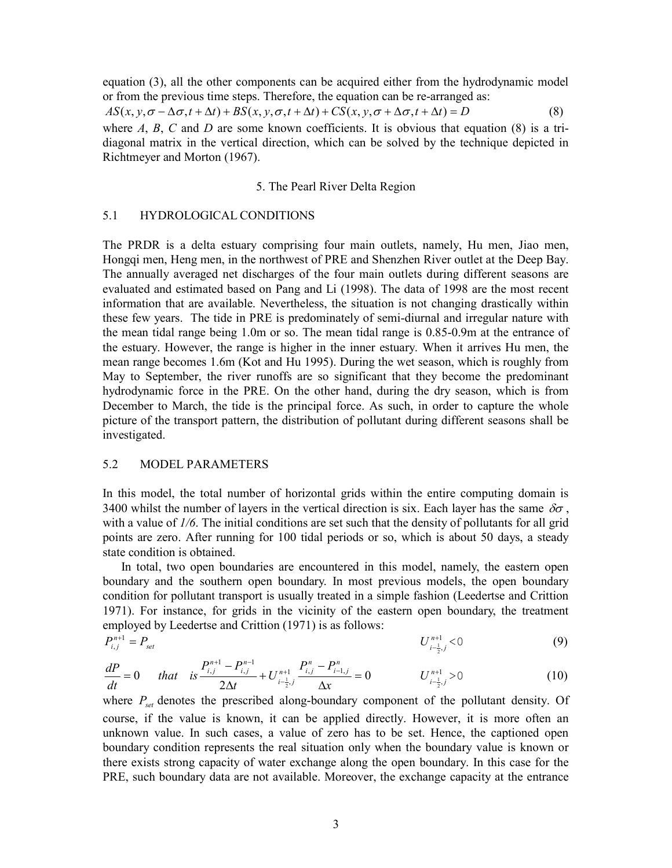equation (3), all the other components can be acquired either from the hydrodynamic model or from the previous time steps. Therefore, the equation can be re-arranged as:

$$
AS(x, y, \sigma - \Delta \sigma, t + \Delta t) + BS(x, y, \sigma, t + \Delta t) + CS(x, y, \sigma + \Delta \sigma, t + \Delta t) = D
$$
\n(8)

where  $A$ ,  $B$ ,  $C$  and  $D$  are some known coefficients. It is obvious that equation (8) is a tridiagonal matrix in the vertical direction, which can be solved by the technique depicted in Richtmeyer and Morton (1967).

# 5. The Pearl River Delta Region

#### 5.1 HYDROLOGICAL CONDITIONS

The PRDR is a delta estuary comprising four main outlets, namely, Hu men, Jiao men, Hongqi men, Heng men, in the northwest of PRE and Shenzhen River outlet at the Deep Bay. The annually averaged net discharges of the four main outlets during different seasons are evaluated and estimated based on Pang and Li (1998). The data of 1998 are the most recent information that are available. Nevertheless, the situation is not changing drastically within these few years. The tide in PRE is predominately of semi-diurnal and irregular nature with the mean tidal range being 1.0m or so. The mean tidal range is 0.85-0.9m at the entrance of the estuary. However, the range is higher in the inner estuary. When it arrives Hu men, the mean range becomes 1.6m (Kot and Hu 1995). During the wet season, which is roughly from May to September, the river runoffs are so significant that they become the predominant hydrodynamic force in the PRE. On the other hand, during the dry season, which is from December to March, the tide is the principal force. As such, in order to capture the whole picture of the transport pattern, the distribution of pollutant during different seasons shall be investigated.

## 5.2 MODEL PARAMETERS

In this model, the total number of horizontal grids within the entire computing domain is 3400 whilst the number of layers in the vertical direction is six. Each layer has the same  $\delta\sigma$ , with a value of *1/6*. The initial conditions are set such that the density of pollutants for all grid points are zero. After running for 100 tidal periods or so, which is about 50 days, a steady state condition is obtained.

 In total, two open boundaries are encountered in this model, namely, the eastern open boundary and the southern open boundary. In most previous models, the open boundary condition for pollutant transport is usually treated in a simple fashion (Leedertse and Crittion 1971). For instance, for grids in the vicinity of the eastern open boundary, the treatment employed by Leedertse and Crittion (1971) is as follows:

$$
P_{i,j}^{n+1} = P_{set} \tag{9}
$$

$$
\frac{dP}{dt} = 0 \t that is \frac{P_{i,j}^{n+1} - P_{i,j}^{n-1}}{2\Delta t} + U_{i-\frac{1}{2},j}^{n+1} \frac{P_{i,j}^n - P_{i-1,j}^n}{\Delta x} = 0 \t\t U_{i-\frac{1}{2},j}^{n+1} > 0 \t\t (10)
$$

where *Pset* denotes the prescribed along-boundary component of the pollutant density. Of course, if the value is known, it can be applied directly. However, it is more often an unknown value. In such cases, a value of zero has to be set. Hence, the captioned open boundary condition represents the real situation only when the boundary value is known or there exists strong capacity of water exchange along the open boundary. In this case for the PRE, such boundary data are not available. Moreover, the exchange capacity at the entrance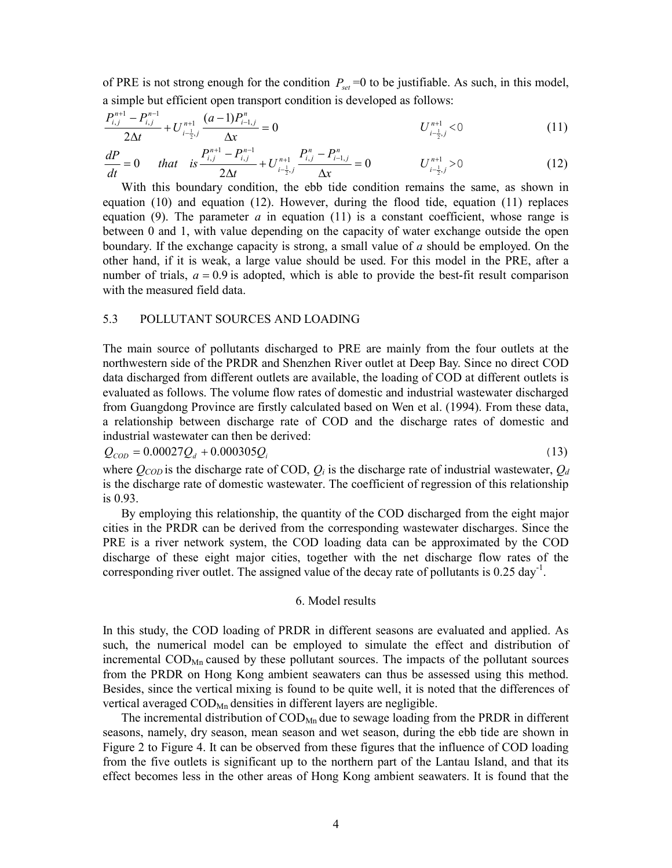of PRE is not strong enough for the condition  $P_{set} = 0$  to be justifiable. As such, in this model, a simple but efficient open transport condition is developed as follows:

$$
\frac{P_{i,j}^{n+1} - P_{i,j}^{n-1}}{2\Delta t} + U_{i-\frac{1}{2},j}^{n+1} \frac{(a-1)P_{i-1,j}^n}{\Delta x} = 0
$$
\n
$$
U_{i-\frac{1}{2},j}^{n+1} < 0
$$
\n(11)

$$
\frac{dP}{dt} = 0 \t that is \frac{P_{i,j}^{n+1} - P_{i,j}^{n-1}}{2\Delta t} + U_{i-\frac{1}{2},j}^{n+1} \frac{P_{i,j}^n - P_{i-1,j}^n}{\Delta x} = 0 \t\t U_{i-\frac{1}{2},j}^{n+1} > 0 \t\t (12)
$$

 With this boundary condition, the ebb tide condition remains the same, as shown in equation (10) and equation (12). However, during the flood tide, equation (11) replaces equation (9). The parameter  $a$  in equation (11) is a constant coefficient, whose range is between 0 and 1, with value depending on the capacity of water exchange outside the open boundary. If the exchange capacity is strong, a small value of *a* should be employed. On the other hand, if it is weak, a large value should be used. For this model in the PRE, after a number of trials,  $a = 0.9$  is adopted, which is able to provide the best-fit result comparison with the measured field data.

## 5.3 POLLUTANT SOURCES AND LOADING

The main source of pollutants discharged to PRE are mainly from the four outlets at the northwestern side of the PRDR and Shenzhen River outlet at Deep Bay. Since no direct COD data discharged from different outlets are available, the loading of COD at different outlets is evaluated as follows. The volume flow rates of domestic and industrial wastewater discharged from Guangdong Province are firstly calculated based on Wen et al. (1994). From these data, a relationship between discharge rate of COD and the discharge rates of domestic and industrial wastewater can then be derived:

 $Q_{\text{con}} = 0.00027 Q_d + 0.000305 Q_i$  (13)

where  $Q_{\text{COD}}$  is the discharge rate of COD,  $Q_i$  is the discharge rate of industrial wastewater,  $Q_d$ is the discharge rate of domestic wastewater. The coefficient of regression of this relationship is 0.93.

 By employing this relationship, the quantity of the COD discharged from the eight major cities in the PRDR can be derived from the corresponding wastewater discharges. Since the PRE is a river network system, the COD loading data can be approximated by the COD discharge of these eight major cities, together with the net discharge flow rates of the corresponding river outlet. The assigned value of the decay rate of pollutants is  $0.25 \text{ day}^{-1}$ .

#### 6. Model results

In this study, the COD loading of PRDR in different seasons are evaluated and applied. As such, the numerical model can be employed to simulate the effect and distribution of incremental  $\text{COD}_{\text{Mn}}$  caused by these pollutant sources. The impacts of the pollutant sources from the PRDR on Hong Kong ambient seawaters can thus be assessed using this method. Besides, since the vertical mixing is found to be quite well, it is noted that the differences of vertical averaged  $\text{COD}_{\text{Mn}}$  densities in different layers are negligible.

The incremental distribution of COD<sub>Mn</sub> due to sewage loading from the PRDR in different seasons, namely, dry season, mean season and wet season, during the ebb tide are shown in Figure 2 to Figure 4. It can be observed from these figures that the influence of COD loading from the five outlets is significant up to the northern part of the Lantau Island, and that its effect becomes less in the other areas of Hong Kong ambient seawaters. It is found that the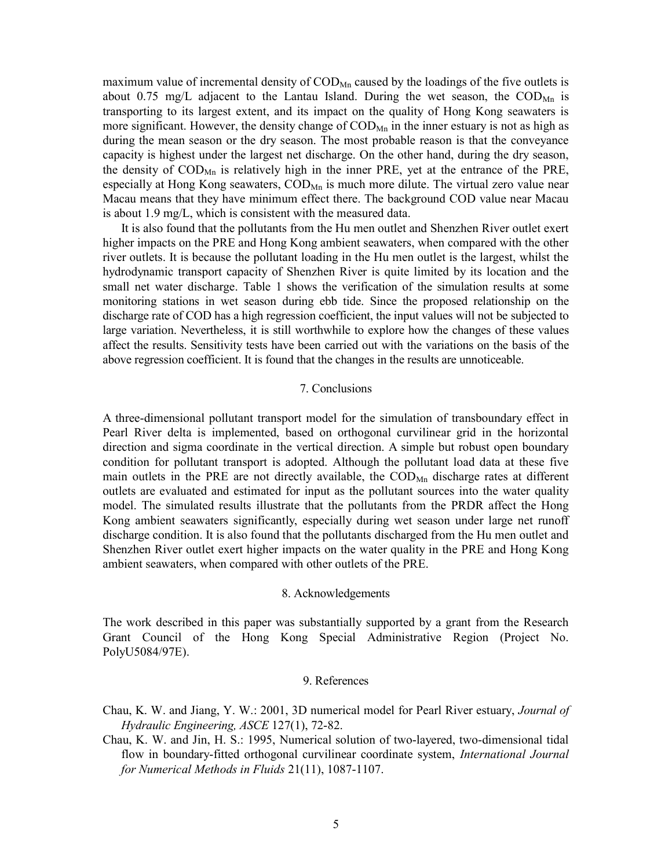maximum value of incremental density of  $\text{COD}_{\text{Mn}}$  caused by the loadings of the five outlets is about 0.75 mg/L adjacent to the Lantau Island. During the wet season, the  $\text{COMP}_{Mn}$  is transporting to its largest extent, and its impact on the quality of Hong Kong seawaters is more significant. However, the density change of  $\text{COD}_{\text{Mn}}$  in the inner estuary is not as high as during the mean season or the dry season. The most probable reason is that the conveyance capacity is highest under the largest net discharge. On the other hand, during the dry season, the density of  $\text{COD}_{\text{Mn}}$  is relatively high in the inner PRE, yet at the entrance of the PRE, especially at Hong Kong seawaters,  $\text{COD}_{\text{Mn}}$  is much more dilute. The virtual zero value near Macau means that they have minimum effect there. The background COD value near Macau is about 1.9 mg/L, which is consistent with the measured data.

 It is also found that the pollutants from the Hu men outlet and Shenzhen River outlet exert higher impacts on the PRE and Hong Kong ambient seawaters, when compared with the other river outlets. It is because the pollutant loading in the Hu men outlet is the largest, whilst the hydrodynamic transport capacity of Shenzhen River is quite limited by its location and the small net water discharge. Table 1 shows the verification of the simulation results at some monitoring stations in wet season during ebb tide. Since the proposed relationship on the discharge rate of COD has a high regression coefficient, the input values will not be subjected to large variation. Nevertheless, it is still worthwhile to explore how the changes of these values affect the results. Sensitivity tests have been carried out with the variations on the basis of the above regression coefficient. It is found that the changes in the results are unnoticeable.

### 7. Conclusions

A three-dimensional pollutant transport model for the simulation of transboundary effect in Pearl River delta is implemented, based on orthogonal curvilinear grid in the horizontal direction and sigma coordinate in the vertical direction. A simple but robust open boundary condition for pollutant transport is adopted. Although the pollutant load data at these five main outlets in the PRE are not directly available, the  $\text{COD}_{\text{Mn}}$  discharge rates at different outlets are evaluated and estimated for input as the pollutant sources into the water quality model. The simulated results illustrate that the pollutants from the PRDR affect the Hong Kong ambient seawaters significantly, especially during wet season under large net runoff discharge condition. It is also found that the pollutants discharged from the Hu men outlet and Shenzhen River outlet exert higher impacts on the water quality in the PRE and Hong Kong ambient seawaters, when compared with other outlets of the PRE.

#### 8. Acknowledgements

The work described in this paper was substantially supported by a grant from the Research Grant Council of the Hong Kong Special Administrative Region (Project No. PolyU5084/97E).

## 9. References

- Chau, K. W. and Jiang, Y. W.: 2001, 3D numerical model for Pearl River estuary, *Journal of Hydraulic Engineering, ASCE* 127(1), 72-82.
- Chau, K. W. and Jin, H. S.: 1995, Numerical solution of two-layered, two-dimensional tidal flow in boundary-fitted orthogonal curvilinear coordinate system, *International Journal for Numerical Methods in Fluids* 21(11), 1087-1107.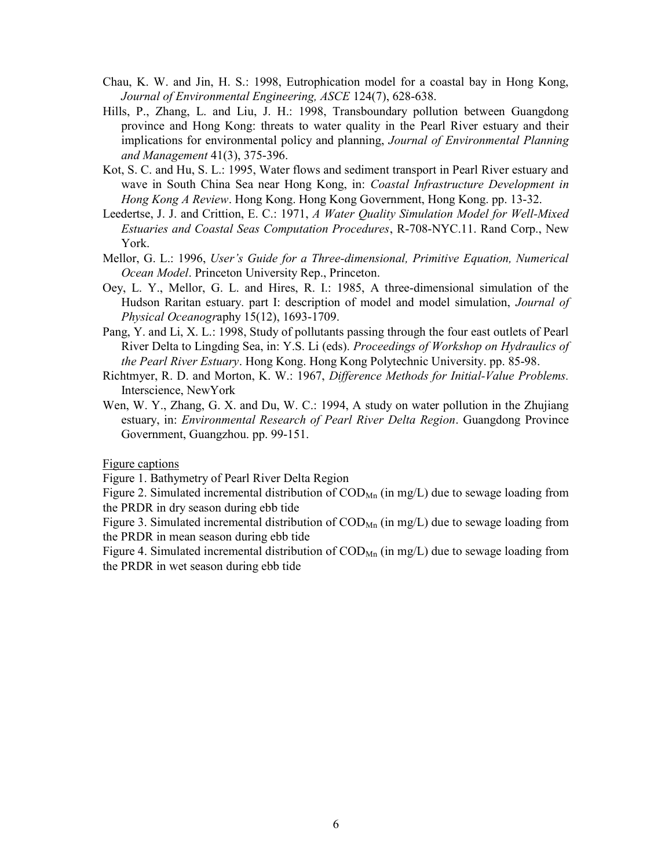- Chau, K. W. and Jin, H. S.: 1998, Eutrophication model for a coastal bay in Hong Kong, *Journal of Environmental Engineering, ASCE* 124(7), 628-638.
- Hills, P., Zhang, L. and Liu, J. H.: 1998, Transboundary pollution between Guangdong province and Hong Kong: threats to water quality in the Pearl River estuary and their implications for environmental policy and planning, *Journal of Environmental Planning and Management* 41(3), 375-396.
- Kot, S. C. and Hu, S. L.: 1995, Water flows and sediment transport in Pearl River estuary and wave in South China Sea near Hong Kong, in: *Coastal Infrastructure Development in Hong Kong A Review*. Hong Kong. Hong Kong Government, Hong Kong. pp. 13-32.
- Leedertse, J. J. and Crittion, E. C.: 1971, *A Water Quality Simulation Model for Well-Mixed Estuaries and Coastal Seas Computation Procedures*, R-708-NYC.11. Rand Corp., New York.
- Mellor, G. L.: 1996, *User's Guide for a Three-dimensional, Primitive Equation, Numerical Ocean Model*. Princeton University Rep., Princeton.
- Oey, L. Y., Mellor, G. L. and Hires, R. I.: 1985, A three-dimensional simulation of the Hudson Raritan estuary. part I: description of model and model simulation, *Journal of Physical Oceanogr*aphy 15(12), 1693-1709.
- Pang, Y. and Li, X. L.: 1998, Study of pollutants passing through the four east outlets of Pearl River Delta to Lingding Sea, in: Y.S. Li (eds). *Proceedings of Workshop on Hydraulics of the Pearl River Estuary*. Hong Kong. Hong Kong Polytechnic University. pp. 85-98.
- Richtmyer, R. D. and Morton, K. W.: 1967, *Difference Methods for Initial-Value Problems.*  Interscience, NewYork
- Wen, W. Y., Zhang, G. X. and Du, W. C.: 1994, A study on water pollution in the Zhujiang estuary, in: *Environmental Research of Pearl River Delta Region*. Guangdong Province Government, Guangzhou. pp. 99-151.

Figure captions

Figure 1. Bathymetry of Pearl River Delta Region

Figure 2. Simulated incremental distribution of  $\text{COD}_{\text{Mn}}$  (in mg/L) due to sewage loading from the PRDR in dry season during ebb tide

Figure 3. Simulated incremental distribution of  $\text{COD}_{\text{Mn}}$  (in mg/L) due to sewage loading from the PRDR in mean season during ebb tide

Figure 4. Simulated incremental distribution of  $\text{COD}_{\text{Mn}}$  (in mg/L) due to sewage loading from the PRDR in wet season during ebb tide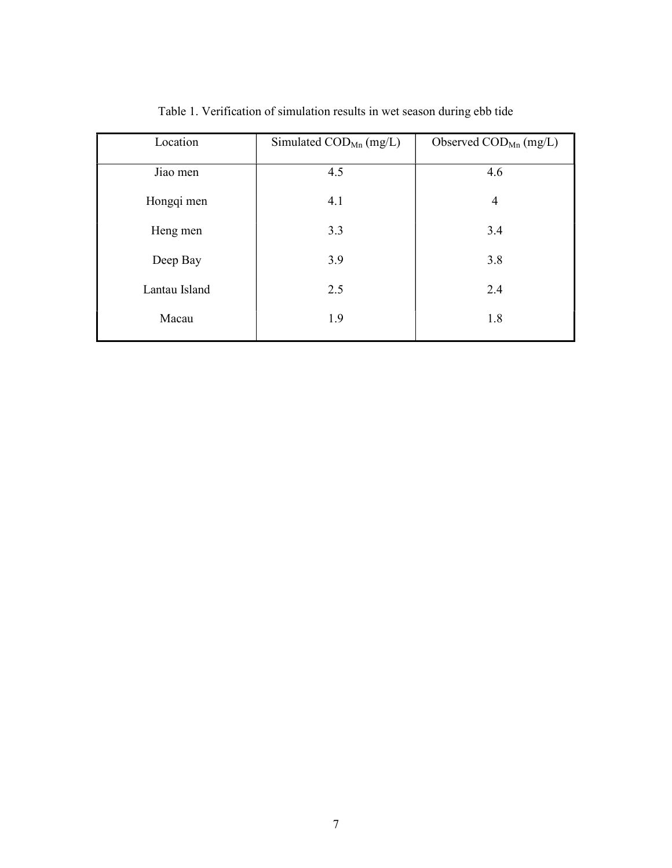| Location      | Simulated $\mathrm{COD}_\mathrm{Mn}$ (mg/L) | Observed $\mathrm{COD}_\mathrm{Mn}$ (mg/L) |
|---------------|---------------------------------------------|--------------------------------------------|
| Jiao men      | 4.5                                         | 4.6                                        |
| Hongqi men    | 4.1                                         | $\overline{4}$                             |
| Heng men      | 3.3                                         | 3.4                                        |
| Deep Bay      | 3.9                                         | 3.8                                        |
| Lantau Island | 2.5                                         | 2.4                                        |
| Macau         | 1.9                                         | 1.8                                        |

Table 1. Verification of simulation results in wet season during ebb tide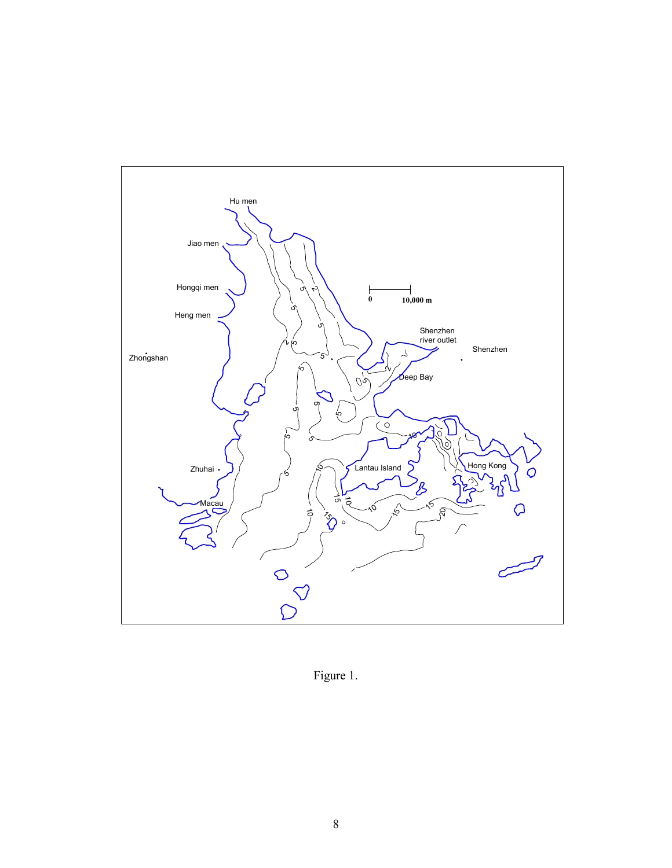

Figure 1.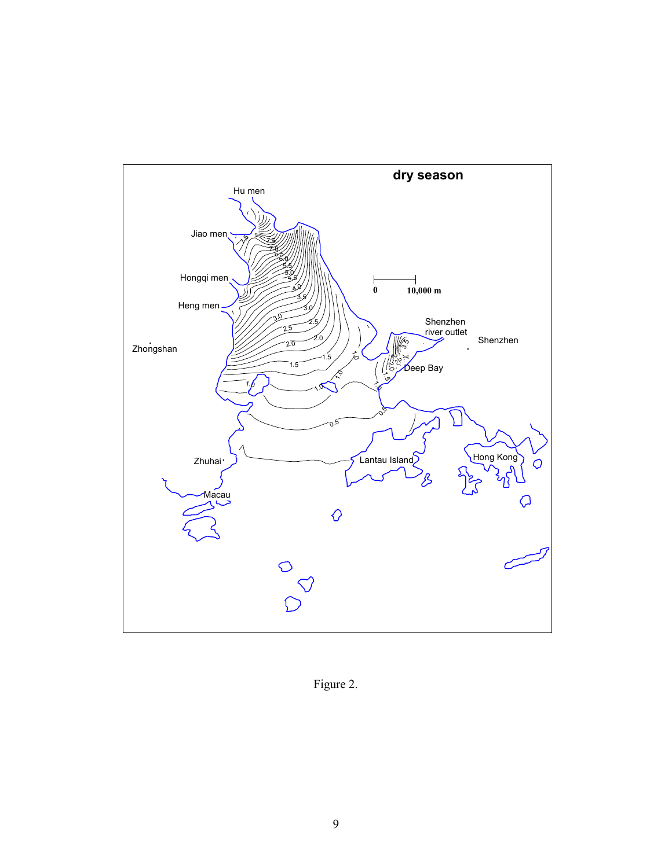

Figure 2.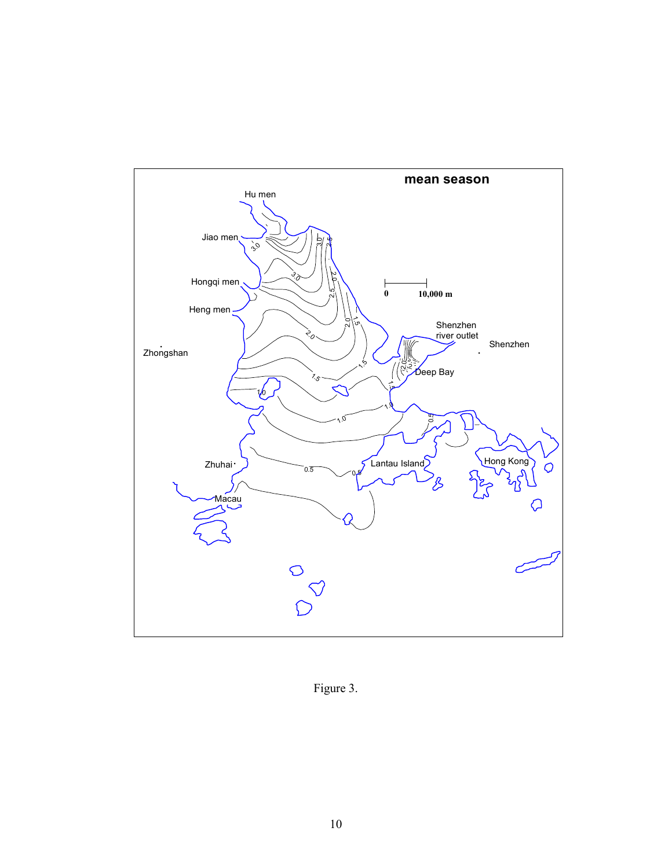

Figure 3.